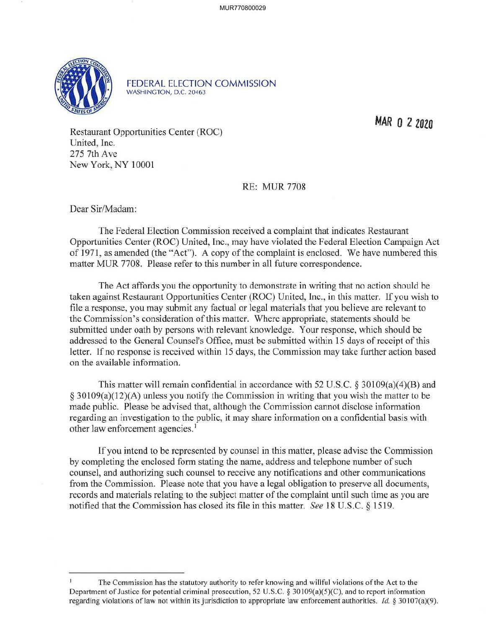

FEDERAL ELECTION COMMISSION WASHINGTON, D.C. 20463

MAR O 2 2020

Restaurant Opportunities Center (ROC) United, Inc. 275 7th Ave New York, NY 10001

RE: MUR 7708

Dear Sir/Madam:

The Federal Election Commission received a complaint that indicates Restaurant Opportunities Center (ROC) United, Inc., may have violated the Federal Election Campaign Act of 1971, as amended (the "Act"). A copy of the complaint is enclosed. We have numbered this matter MUR 7708. Please refer to this number in all future correspondence.

The Act affords you the opportunity to demonstrate in writing that no action should be taken against Restaurant Opportunities Center (ROC) United, Inc., in this matter. If you wish to file a response, you may submit any factual or legal materials that you believe are relevant to the Commission's consideration of this matter. Where appropriate, statements should be submitted under oath by persons with relevant knowledge. Your response, which should be addressed to the General Counsel's Office, must be submitted within 15 days of receipt of this letter. If no response is received within 15 days, the Commission may take further action based on the available information.

This matter will remain confidential in accordance with 52 U.S.C. § 30109(a)(4)(B) and  $\S 30109(a)(12)(A)$  unless you notify the Commission in writing that you wish the matter to be made public. Please be advised that, although the Commission cannot disclose information regarding an investigation to the public, it may share information on a confidential basis with other law enforcement agencies.<sup>1</sup>

If you intend to be represented by counsel in this matter, please advise the Commission by completing the enclosed form stating the name, address and telephone number of such counsel, and authorizing such counsel to receive any notifications and other communications from the Commission. Please note that you have a legal obligation to preserve all documents, records and materials relating to the subject matter of the complaint until such time as you are notified that the Commission has closed its file in this matter. *See* 18 U.S.C. § 1519.

The Commission has the statutory authority to refer knowing and willful violations of the Act to the Department of Justice for potential criminal prosecution, 52 U.S.C. § 30109(a)(5)(C), and to report information regarding violations of law not within its jurisdiction to appropriate law enforcement authorities. *Id.* § 30107(a)(9).